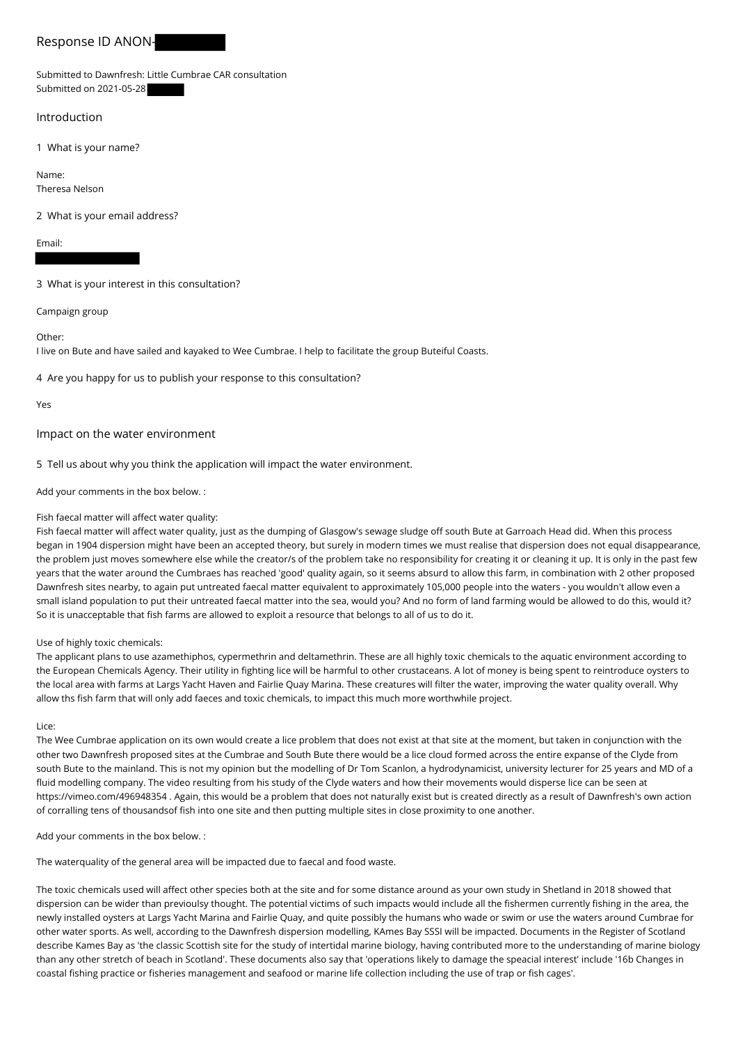# Response ID ANON-

Submitted to Dawnfresh: Little Cumbrae CAR consultation Submitted on 2021-05-28

## Introduction

1 What is your name?

Name: Theresa Nelson

2 What is your email address?

Email:

3 What is your interest in this consultation?

Campaign group

Other:

I live on Bute and have sailed and kayaked to Wee Cumbrae. I help to facilitate the group Buteiful Coasts.

4 Are you happy for us to publish your response to this consultation?

Yes

## Impact on the water environment

5 Tell us about why you think the application will impact the water environment.

Add your comments in the box below. :

## Fish faecal matter will affect water quality:

Fish faecal matter will affect water quality, just as the dumping of Glasgow's sewage sludge off south Bute at Garroach Head did. When this process began in 1904 dispersion might have been an accepted theory, but surely in modern times we must realise that dispersion does not equal disappearance, the problem just moves somewhere else while the creator/s of the problem take no responsibility for creating it or cleaning it up. It is only in the past few years that the water around the Cumbraes has reached 'good' quality again, so it seems absurd to allow this farm, in combination with 2 other proposed Dawnfresh sites nearby, to again put untreated faecal matter equivalent to approximately 105,000 people into the waters - you wouldn't allow even a small island population to put their untreated faecal matter into the sea, would you? And no form of land farming would be allowed to do this, would it? So it is unacceptable that fish farms are allowed to exploit a resource that belongs to all of us to do it.

#### Use of highly toxic chemicals:

The applicant plans to use azamethiphos, cypermethrin and deltamethrin. These are all highly toxic chemicals to the aquatic environment according to the European Chemicals Agency. Their utility in fighting lice will be harmful to other crustaceans. A lot of money is being spent to reintroduce oysters to the local area with farms at Largs Yacht Haven and Fairlie Quay Marina. These creatures will filter the water, improving the water quality overall. Why allow ths fish farm that will only add faeces and toxic chemicals, to impact this much more worthwhile project.

Lice:

The Wee Cumbrae application on its own would create a lice problem that does not exist at that site at the moment, but taken in conjunction with the other two Dawnfresh proposed sites at the Cumbrae and South Bute there would be a lice cloud formed across the entire expanse of the Clyde from south Bute to the mainland. This is not my opinion but the modelling of Dr Tom Scanlon, a hydrodynamicist, university lecturer for 25 years and MD of a fluid modelling company. The video resulting from his study of the Clyde waters and how their movements would disperse lice can be seen at https://vimeo.com/496948354 . Again, this would be a problem that does not naturally exist but is created directly as a result of Dawnfresh's own action of corralling tens of thousandsof fish into one site and then putting multiple sites in close proximity to one another.

Add your comments in the box below. :

The waterquality of the general area will be impacted due to faecal and food waste.

The toxic chemicals used will affect other species both at the site and for some distance around as your own study in Shetland in 2018 showed that dispersion can be wider than previoulsy thought. The potential victims of such impacts would include all the fishermen currently fishing in the area, the newly installed oysters at Largs Yacht Marina and Fairlie Quay, and quite possibly the humans who wade or swim or use the waters around Cumbrae for other water sports. As well, according to the Dawnfresh dispersion modelling, KAmes Bay SSSI will be impacted. Documents in the Register of Scotland describe Kames Bay as 'the classic Scottish site for the study of intertidal marine biology, having contributed more to the understanding of marine biology than any other stretch of beach in Scotland'. These documents also say that 'operations likely to damage the speacial interest' include '16b Changes in coastal fishing practice or fisheries management and seafood or marine life collection including the use of trap or fish cages'.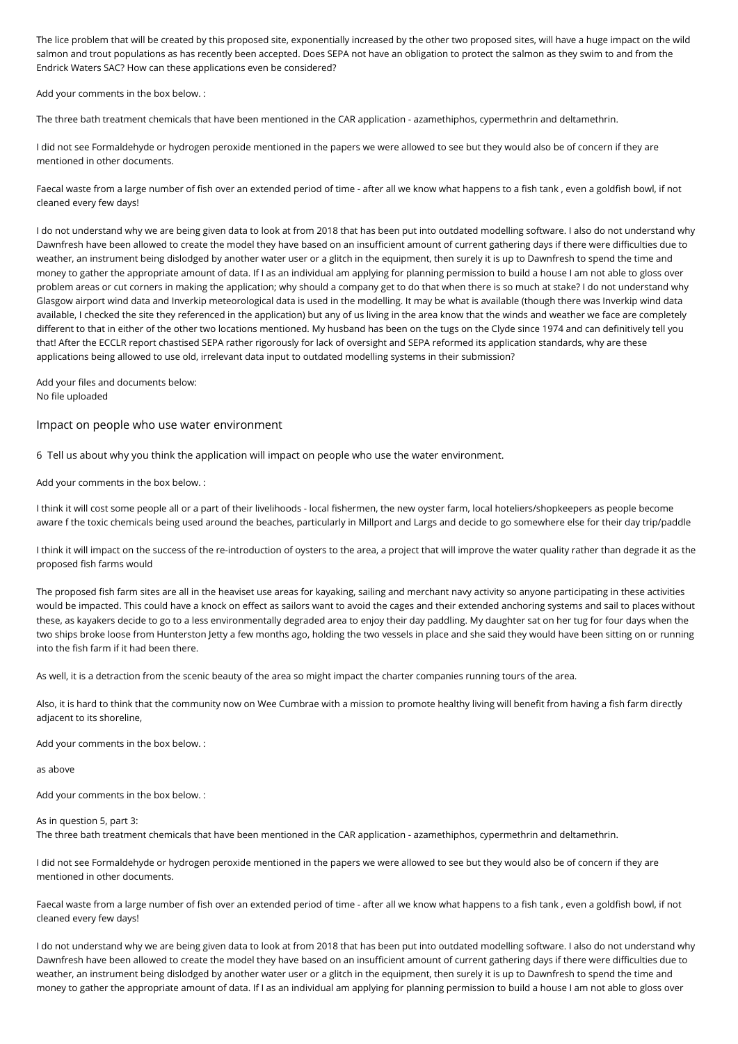The lice problem that will be created by this proposed site, exponentially increased by the other two proposed sites, will have a huge impact on the wild salmon and trout populations as has recently been accepted. Does SEPA not have an obligation to protect the salmon as they swim to and from the Endrick Waters SAC? How can these applications even be considered?

Add your comments in the box below. :

The three bath treatment chemicals that have been mentioned in the CAR application - azamethiphos, cypermethrin and deltamethrin.

I did not see Formaldehyde or hydrogen peroxide mentioned in the papers we were allowed to see but they would also be of concern if they are mentioned in other documents.

Faecal waste from a large number of fish over an extended period of time - after all we know what happens to a fish tank , even a goldfish bowl, if not cleaned every few days!

I do not understand why we are being given data to look at from 2018 that has been put into outdated modelling software. I also do not understand why Dawnfresh have been allowed to create the model they have based on an insufficient amount of current gathering days if there were difficulties due to weather, an instrument being dislodged by another water user or a glitch in the equipment, then surely it is up to Dawnfresh to spend the time and money to gather the appropriate amount of data. If I as an individual am applying for planning permission to build a house I am not able to gloss over problem areas or cut corners in making the application; why should a company get to do that when there is so much at stake? I do not understand why Glasgow airport wind data and Inverkip meteorological data is used in the modelling. It may be what is available (though there was Inverkip wind data available, I checked the site they referenced in the application) but any of us living in the area know that the winds and weather we face are completely different to that in either of the other two locations mentioned. My husband has been on the tugs on the Clyde since 1974 and can definitively tell you that! After the ECCLR report chastised SEPA rather rigorously for lack of oversight and SEPA reformed its application standards, why are these applications being allowed to use old, irrelevant data input to outdated modelling systems in their submission?

Add your files and documents below: No file uploaded

Impact on people who use water environment

6 Tell us about why you think the application will impact on people who use the water environment.

Add your comments in the box below. :

I think it will cost some people all or a part of their livelihoods - local fishermen, the new oyster farm, local hoteliers/shopkeepers as people become aware f the toxic chemicals being used around the beaches, particularly in Millport and Largs and decide to go somewhere else for their day trip/paddle

I think it will impact on the success of the re-introduction of oysters to the area, a project that will improve the water quality rather than degrade it as the proposed fish farms would

The proposed fish farm sites are all in the heaviset use areas for kayaking, sailing and merchant navy activity so anyone participating in these activities would be impacted. This could have a knock on effect as sailors want to avoid the cages and their extended anchoring systems and sail to places without these, as kayakers decide to go to a less environmentally degraded area to enjoy their day paddling. My daughter sat on her tug for four days when the two ships broke loose from Hunterston Jetty a few months ago, holding the two vessels in place and she said they would have been sitting on or running into the fish farm if it had been there.

As well, it is a detraction from the scenic beauty of the area so might impact the charter companies running tours of the area.

Also, it is hard to think that the community now on Wee Cumbrae with a mission to promote healthy living will benefit from having a fish farm directly adjacent to its shoreline,

Add your comments in the box below. :

as above

Add your comments in the box below. :

#### As in question 5, part 3:

The three bath treatment chemicals that have been mentioned in the CAR application - azamethiphos, cypermethrin and deltamethrin.

I did not see Formaldehyde or hydrogen peroxide mentioned in the papers we were allowed to see but they would also be of concern if they are mentioned in other documents.

Faecal waste from a large number of fish over an extended period of time - after all we know what happens to a fish tank , even a goldfish bowl, if not cleaned every few days!

I do not understand why we are being given data to look at from 2018 that has been put into outdated modelling software. I also do not understand why Dawnfresh have been allowed to create the model they have based on an insufficient amount of current gathering days if there were difficulties due to weather, an instrument being dislodged by another water user or a glitch in the equipment, then surely it is up to Dawnfresh to spend the time and money to gather the appropriate amount of data. If I as an individual am applying for planning permission to build a house I am not able to gloss over